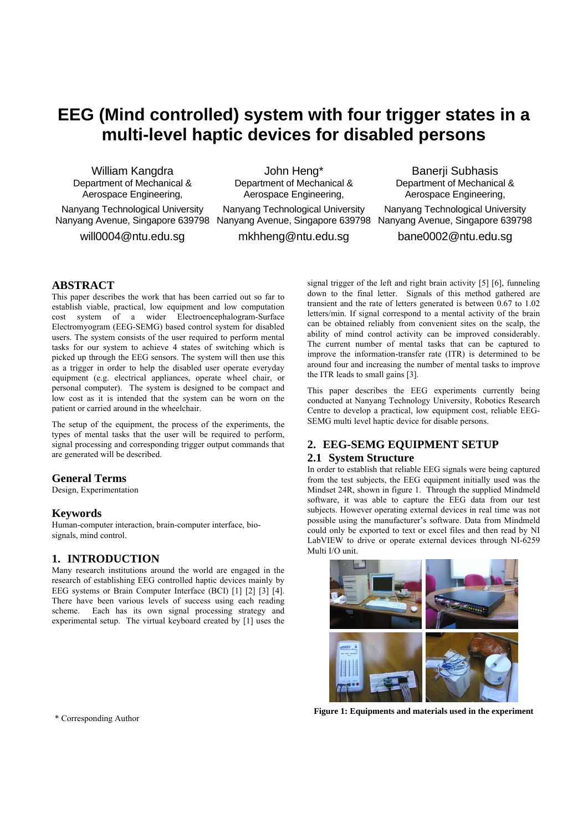# **EEG (Mind controlled) system with four trigger states in a multi-level haptic devices for disabled persons**

William Kangdra Department of Mechanical & Aerospace Engineering,

Nanyang Technological University Nanyang Avenue, Singapore 639798 Nanyang Avenue, Singapore 639798 Nanyang Avenue, Singapore 639798

will0004@ntu.edu.sg

John Heng\* Department of Mechanical & Aerospace Engineering, Nanyang Technological University

mkhheng@ntu.edu.sg

Aerospace Engineering, Nanyang Technological University

Banerji Subhasis Department of Mechanical &

bane0002@ntu.edu.sg

## **ABSTRACT**

This paper describes the work that has been carried out so far to establish viable, practical, low equipment and low computation cost system of a wider Electroencephalogram-Surface Electromyogram (EEG-SEMG) based control system for disabled users. The system consists of the user required to perform mental tasks for our system to achieve 4 states of switching which is picked up through the EEG sensors. The system will then use this as a trigger in order to help the disabled user operate everyday equipment (e.g. electrical appliances, operate wheel chair, or personal computer). The system is designed to be compact and low cost as it is intended that the system can be worn on the patient or carried around in the wheelchair.

The setup of the equipment, the process of the experiments, the types of mental tasks that the user will be required to perform, signal processing and corresponding trigger output commands that are generated will be described.

#### **General Terms**

Design, Experimentation

## **Keywords**

Human-computer interaction, brain-computer interface, biosignals, mind control.

## **1. INTRODUCTION**

Many research institutions around the world are engaged in the research of establishing EEG controlled haptic devices mainly by EEG systems or Brain Computer Interface (BCI) [1] [2] [3] [4]. There have been various levels of success using each reading scheme. Each has its own signal processing strategy and experimental setup. The virtual keyboard created by [1] uses the signal trigger of the left and right brain activity [5] [6], funneling down to the final letter. Signals of this method gathered are transient and the rate of letters generated is between 0.67 to 1.02 letters/min. If signal correspond to a mental activity of the brain can be obtained reliably from convenient sites on the scalp, the ability of mind control activity can be improved considerably. The current number of mental tasks that can be captured to improve the information-transfer rate (ITR) is determined to be around four and increasing the number of mental tasks to improve the ITR leads to small gains [3].

This paper describes the EEG experiments currently being conducted at Nanyang Technology University, Robotics Research Centre to develop a practical, low equipment cost, reliable EEG-SEMG multi level haptic device for disable persons.

## **2. EEG-SEMG EQUIPMENT SETUP 2.1 System Structure**

In order to establish that reliable EEG signals were being captured from the test subjects, the EEG equipment initially used was the Mindset 24R, shown in figure 1. Through the supplied Mindmeld software, it was able to capture the EEG data from our test subjects. However operating external devices in real time was not possible using the manufacturer's software. Data from Mindmeld could only be exported to text or excel files and then read by NI LabVIEW to drive or operate external devices through NI-6259 Multi I/O unit.



**Figure 1: Equipments and materials used in the experiment** \* Corresponding Author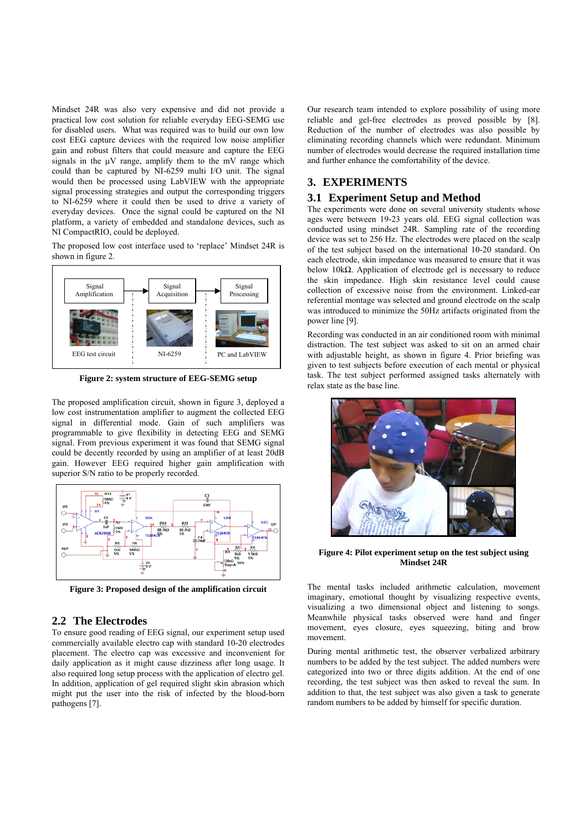Mindset 24R was also very expensive and did not provide a practical low cost solution for reliable everyday EEG-SEMG use for disabled users. What was required was to build our own low cost EEG capture devices with the required low noise amplifier gain and robust filters that could measure and capture the EEG signals in the μV range, amplify them to the mV range which could than be captured by NI-6259 multi I/O unit. The signal would then be processed using LabVIEW with the appropriate signal processing strategies and output the corresponding triggers to NI-6259 where it could then be used to drive a variety of everyday devices. Once the signal could be captured on the NI platform, a variety of embedded and standalone devices, such as NI CompactRIO, could be deployed.

The proposed low cost interface used to 'replace' Mindset 24R is shown in figure 2.



**Figure 2: system structure of EEG-SEMG setup** 

The proposed amplification circuit, shown in figure 3, deployed a low cost instrumentation amplifier to augment the collected EEG signal in differential mode. Gain of such amplifiers was programmable to give flexibility in detecting EEG and SEMG signal. From previous experiment it was found that SEMG signal could be decently recorded by using an amplifier of at least 20dB gain. However EEG required higher gain amplification with superior S/N ratio to be properly recorded.



**Figure 3: Proposed design of the amplification circuit** 

## **2.2 The Electrodes**

To ensure good reading of EEG signal, our experiment setup used commercially available electro cap with standard 10-20 electrodes placement. The electro cap was excessive and inconvenient for daily application as it might cause dizziness after long usage. It also required long setup process with the application of electro gel. In addition, application of gel required slight skin abrasion which might put the user into the risk of infected by the blood-born pathogens [7].

Our research team intended to explore possibility of using more reliable and gel-free electrodes as proved possible by [8]. Reduction of the number of electrodes was also possible by eliminating recording channels which were redundant. Minimum number of electrodes would decrease the required installation time and further enhance the comfortability of the device.

## **3. EXPERIMENTS**

#### **3.1 Experiment Setup and Method**

The experiments were done on several university students whose ages were between 19-23 years old. EEG signal collection was conducted using mindset 24R. Sampling rate of the recording device was set to 256 Hz. The electrodes were placed on the scalp of the test subject based on the international 10-20 standard. On each electrode, skin impedance was measured to ensure that it was below 10k $\Omega$ . Application of electrode gel is necessary to reduce the skin impedance. High skin resistance level could cause collection of excessive noise from the environment. Linked-ear referential montage was selected and ground electrode on the scalp was introduced to minimize the 50Hz artifacts originated from the power line [9].

Recording was conducted in an air conditioned room with minimal distraction. The test subject was asked to sit on an armed chair with adjustable height, as shown in figure 4. Prior briefing was given to test subjects before execution of each mental or physical task. The test subject performed assigned tasks alternately with relax state as the base line.



**Figure 4: Pilot experiment setup on the test subject using Mindset 24R** 

The mental tasks included arithmetic calculation, movement imaginary, emotional thought by visualizing respective events, visualizing a two dimensional object and listening to songs. Meanwhile physical tasks observed were hand and finger movement, eyes closure, eyes squeezing, biting and brow movement.

During mental arithmetic test, the observer verbalized arbitrary numbers to be added by the test subject. The added numbers were categorized into two or three digits addition. At the end of one recording, the test subject was then asked to reveal the sum. In addition to that, the test subject was also given a task to generate random numbers to be added by himself for specific duration.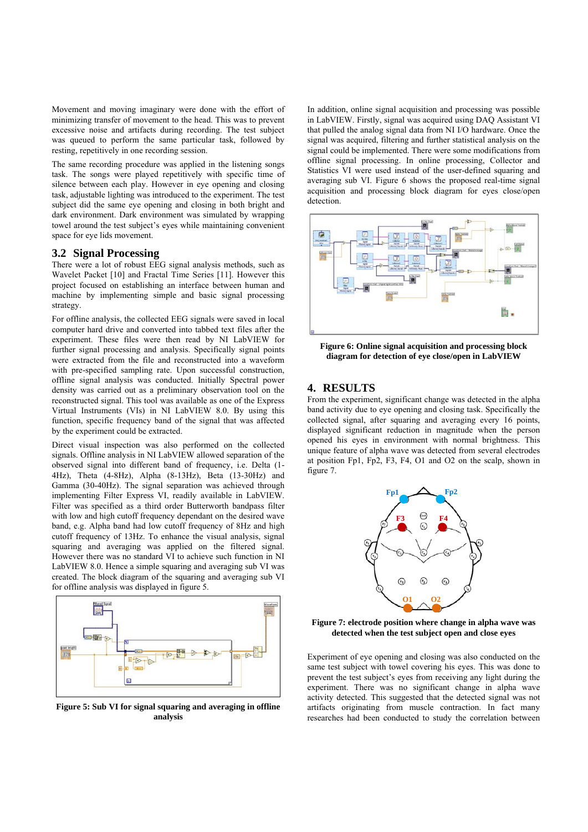Movement and moving imaginary were done with the effort of minimizing transfer of movement to the head. This was to prevent excessive noise and artifacts during recording. The test subject was queued to perform the same particular task, followed by resting, repetitively in one recording session.

The same recording procedure was applied in the listening songs task. The songs were played repetitively with specific time of silence between each play. However in eye opening and closing task, adjustable lighting was introduced to the experiment. The test subject did the same eye opening and closing in both bright and dark environment. Dark environment was simulated by wrapping towel around the test subject's eyes while maintaining convenient space for eye lids movement.

#### **3.2 Signal Processing**

There were a lot of robust EEG signal analysis methods, such as Wavelet Packet [10] and Fractal Time Series [11]. However this project focused on establishing an interface between human and machine by implementing simple and basic signal processing strategy.

For offline analysis, the collected EEG signals were saved in local computer hard drive and converted into tabbed text files after the experiment. These files were then read by NI LabVIEW for further signal processing and analysis. Specifically signal points were extracted from the file and reconstructed into a waveform with pre-specified sampling rate. Upon successful construction, offline signal analysis was conducted. Initially Spectral power density was carried out as a preliminary observation tool on the reconstructed signal. This tool was available as one of the Express Virtual Instruments (VIs) in NI LabVIEW 8.0. By using this function, specific frequency band of the signal that was affected by the experiment could be extracted.

Direct visual inspection was also performed on the collected signals. Offline analysis in NI LabVIEW allowed separation of the observed signal into different band of frequency, i.e. Delta (1- 4Hz), Theta (4-8Hz), Alpha (8-13Hz), Beta (13-30Hz) and Gamma (30-40Hz). The signal separation was achieved through implementing Filter Express VI, readily available in LabVIEW. Filter was specified as a third order Butterworth bandpass filter with low and high cutoff frequency dependant on the desired wave band, e.g. Alpha band had low cutoff frequency of 8Hz and high cutoff frequency of 13Hz. To enhance the visual analysis, signal squaring and averaging was applied on the filtered signal. However there was no standard VI to achieve such function in NI LabVIEW 8.0. Hence a simple squaring and averaging sub VI was created. The block diagram of the squaring and averaging sub VI for offline analysis was displayed in figure 5.



**Figure 5: Sub VI for signal squaring and averaging in offline analysis** 

In addition, online signal acquisition and processing was possible in LabVIEW. Firstly, signal was acquired using DAQ Assistant VI that pulled the analog signal data from NI I/O hardware. Once the signal was acquired, filtering and further statistical analysis on the signal could be implemented. There were some modifications from offline signal processing. In online processing, Collector and Statistics VI were used instead of the user-defined squaring and averaging sub VI. Figure 6 shows the proposed real-time signal acquisition and processing block diagram for eyes close/open detection.



**Figure 6: Online signal acquisition and processing block diagram for detection of eye close/open in LabVIEW** 

## **4. RESULTS**

From the experiment, significant change was detected in the alpha band activity due to eye opening and closing task. Specifically the collected signal, after squaring and averaging every 16 points, displayed significant reduction in magnitude when the person opened his eyes in environment with normal brightness. This unique feature of alpha wave was detected from several electrodes at position Fp1, Fp2, F3, F4, O1 and O2 on the scalp, shown in figure 7.



**Figure 7: electrode position where change in alpha wave was detected when the test subject open and close eyes** 

Experiment of eye opening and closing was also conducted on the same test subject with towel covering his eyes. This was done to prevent the test subject's eyes from receiving any light during the experiment. There was no significant change in alpha wave activity detected. This suggested that the detected signal was not artifacts originating from muscle contraction. In fact many researches had been conducted to study the correlation between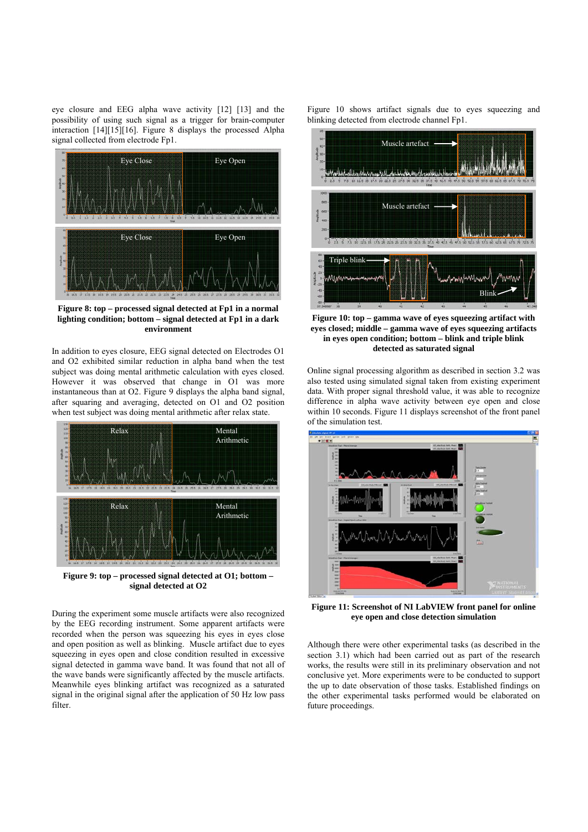eye closure and EEG alpha wave activity [12] [13] and the possibility of using such signal as a trigger for brain-computer interaction [14][15][16]. Figure 8 displays the processed Alpha signal collected from electrode Fp1.



**Figure 8: top – processed signal detected at Fp1 in a normal lighting condition; bottom – signal detected at Fp1 in a dark environment** 

In addition to eyes closure, EEG signal detected on Electrodes O1 and O2 exhibited similar reduction in alpha band when the test subject was doing mental arithmetic calculation with eyes closed. However it was observed that change in O1 was more instantaneous than at O2. Figure 9 displays the alpha band signal, after squaring and averaging, detected on O1 and O2 position when test subject was doing mental arithmetic after relax state.



**Figure 9: top – processed signal detected at O1; bottom – signal detected at O2** 

During the experiment some muscle artifacts were also recognized by the EEG recording instrument. Some apparent artifacts were recorded when the person was squeezing his eyes in eyes close and open position as well as blinking. Muscle artifact due to eyes squeezing in eyes open and close condition resulted in excessive signal detected in gamma wave band. It was found that not all of the wave bands were significantly affected by the muscle artifacts. Meanwhile eyes blinking artifact was recognized as a saturated signal in the original signal after the application of 50 Hz low pass filter.

Figure 10 shows artifact signals due to eyes squeezing and blinking detected from electrode channel Fp1.



**Figure 10: top – gamma wave of eyes squeezing artifact with eyes closed; middle – gamma wave of eyes squeezing artifacts in eyes open condition; bottom – blink and triple blink detected as saturated signal** 

Online signal processing algorithm as described in section 3.2 was also tested using simulated signal taken from existing experiment data. With proper signal threshold value, it was able to recognize difference in alpha wave activity between eye open and close within 10 seconds. Figure 11 displays screenshot of the front panel of the simulation test.



**Figure 11: Screenshot of NI LabVIEW front panel for online eye open and close detection simulation** 

Although there were other experimental tasks (as described in the section 3.1) which had been carried out as part of the research works, the results were still in its preliminary observation and not conclusive yet. More experiments were to be conducted to support the up to date observation of those tasks. Established findings on the other experimental tasks performed would be elaborated on future proceedings.